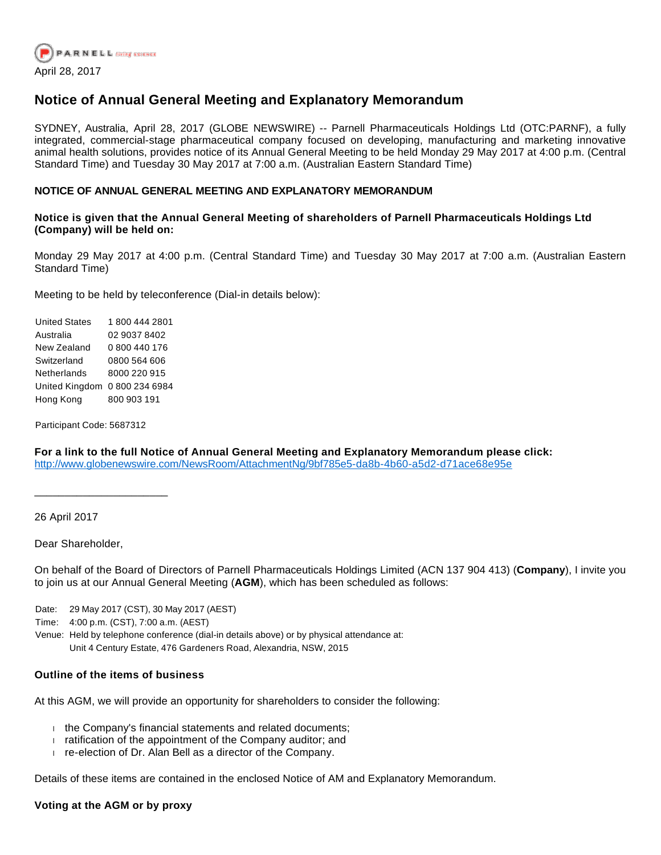

# **Notice of Annual General Meeting and Explanatory Memorandum**

SYDNEY, Australia, April 28, 2017 (GLOBE NEWSWIRE) -- Parnell Pharmaceuticals Holdings Ltd (OTC:PARNF), a fully integrated, commercial-stage pharmaceutical company focused on developing, manufacturing and marketing innovative animal health solutions, provides notice of its Annual General Meeting to be held Monday 29 May 2017 at 4:00 p.m. (Central Standard Time) and Tuesday 30 May 2017 at 7:00 a.m. (Australian Eastern Standard Time)

## **NOTICE OF ANNUAL GENERAL MEETING AND EXPLANATORY MEMORANDUM**

### **Notice is given that the Annual General Meeting of shareholders of Parnell Pharmaceuticals Holdings Ltd (Company) will be held on:**

Monday 29 May 2017 at 4:00 p.m. (Central Standard Time) and Tuesday 30 May 2017 at 7:00 a.m. (Australian Eastern Standard Time)

Meeting to be held by teleconference (Dial-in details below):

United States 1 800 444 2801 Australia 02 9037 8402 New Zealand 0 800 440 176 Switzerland 0800 564 606 Netherlands 8000 220 915 United Kingdom 0 800 234 6984 Hong Kong 800 903 191

Participant Code: 5687312

\_\_\_\_\_\_\_\_\_\_\_\_\_\_\_\_\_\_\_\_\_\_

**For a link to the full Notice of Annual General Meeting and Explanatory Memorandum please click:**  [http://www.globenewswire.com/NewsRoom/AttachmentNg/9bf785e5-da8b-4b60-a5d2-d71ace68e95e](https://www.globenewswire.com/Tracker?data=KjyAJs_zqGtzNZxAjn8Oh7oEN3DgH7t7YIshra6Plsg5U4OzTL8FU6xDwWv8aYd5-5HLo3SYRilrMGnMB04eJZLAqnKPxKEube43WI0AAzTfSl0NPuIJZYQRV62AG6j6lJBtWz0m7yPkD7FZmdcOs4tIm1n13WmxEm7mUciWIPqgEyRyShO2vaeKebMUs2vfmeOGZzAJKMFnuBLjbwvphfvnB8IPTTPEogB9Z8T-qRq54zrTRpMgYHIUvb9DEaGHfCOAdnmS0OouweYbbaXV-Q==) 

26 April 2017

Dear Shareholder,

On behalf of the Board of Directors of Parnell Pharmaceuticals Holdings Limited (ACN 137 904 413) (**Company**), I invite you to join us at our Annual General Meeting (**AGM**), which has been scheduled as follows:

Date: 29 May 2017 (CST), 30 May 2017 (AEST)

Time: 4:00 p.m. (CST), 7:00 a.m. (AEST)

Venue: Held by telephone conference (dial-in details above) or by physical attendance at: Unit 4 Century Estate, 476 Gardeners Road, Alexandria, NSW, 2015

## **Outline of the items of business**

At this AGM, we will provide an opportunity for shareholders to consider the following:

- $\text{ }$  the Company's financial statements and related documents;
- $\frac{1}{1}$  ratification of the appointment of the Company auditor; and
- $r =$  re-election of Dr. Alan Bell as a director of the Company.

Details of these items are contained in the enclosed Notice of AM and Explanatory Memorandum.

#### **Voting at the AGM or by proxy**